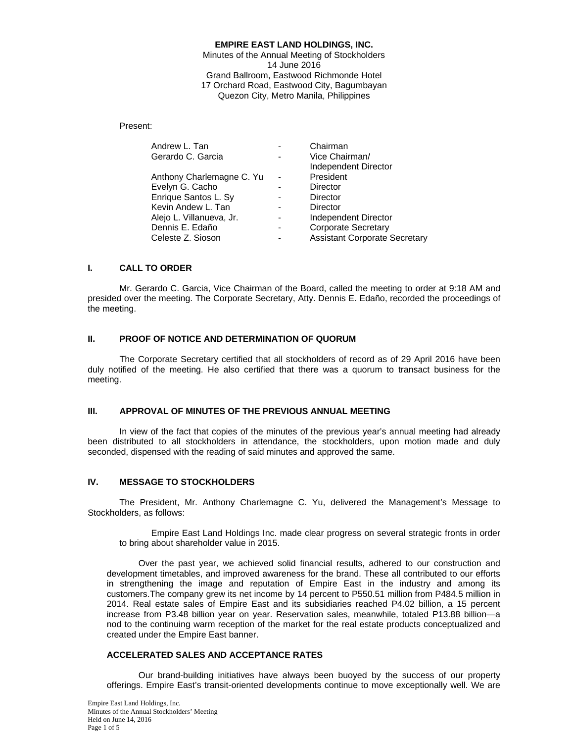# **EMPIRE EAST LAND HOLDINGS, INC.**

Minutes of the Annual Meeting of Stockholders 14 June 2016 Grand Ballroom, Eastwood Richmonde Hotel 17 Orchard Road, Eastwood City, Bagumbayan Quezon City, Metro Manila, Philippines

# Present:

| Andrew L. Tan             | Chairman                             |
|---------------------------|--------------------------------------|
| Gerardo C. Garcia         | Vice Chairman/                       |
|                           | Independent Director                 |
| Anthony Charlemagne C. Yu | President                            |
| Evelyn G. Cacho           | Director                             |
| Enrique Santos L. Sy      | Director                             |
| Kevin Andew L. Tan        | Director                             |
| Alejo L. Villanueva, Jr.  | Independent Director                 |
| Dennis E. Edaño           | <b>Corporate Secretary</b>           |
| Celeste Z. Sioson         | <b>Assistant Corporate Secretary</b> |

# **I. CALL TO ORDER**

 Mr. Gerardo C. Garcia, Vice Chairman of the Board, called the meeting to order at 9:18 AM and presided over the meeting. The Corporate Secretary, Atty. Dennis E. Edaño, recorded the proceedings of the meeting.

# **II. PROOF OF NOTICE AND DETERMINATION OF QUORUM**

 The Corporate Secretary certified that all stockholders of record as of 29 April 2016 have been duly notified of the meeting. He also certified that there was a quorum to transact business for the meeting.

# **III. APPROVAL OF MINUTES OF THE PREVIOUS ANNUAL MEETING**

 In view of the fact that copies of the minutes of the previous year's annual meeting had already been distributed to all stockholders in attendance, the stockholders, upon motion made and duly seconded, dispensed with the reading of said minutes and approved the same.

# **IV. MESSAGE TO STOCKHOLDERS**

 The President, Mr. Anthony Charlemagne C. Yu, delivered the Management's Message to Stockholders, as follows:

Empire East Land Holdings Inc. made clear progress on several strategic fronts in order to bring about shareholder value in 2015.

Over the past year, we achieved solid financial results, adhered to our construction and development timetables, and improved awareness for the brand. These all contributed to our efforts in strengthening the image and reputation of Empire East in the industry and among its customers.The company grew its net income by 14 percent to P550.51 million from P484.5 million in 2014. Real estate sales of Empire East and its subsidiaries reached P4.02 billion, a 15 percent increase from P3.48 billion year on year. Reservation sales, meanwhile, totaled P13.88 billion—a nod to the continuing warm reception of the market for the real estate products conceptualized and created under the Empire East banner.

# **ACCELERATED SALES AND ACCEPTANCE RATES**

Our brand-building initiatives have always been buoyed by the success of our property offerings. Empire East's transit-oriented developments continue to move exceptionally well. We are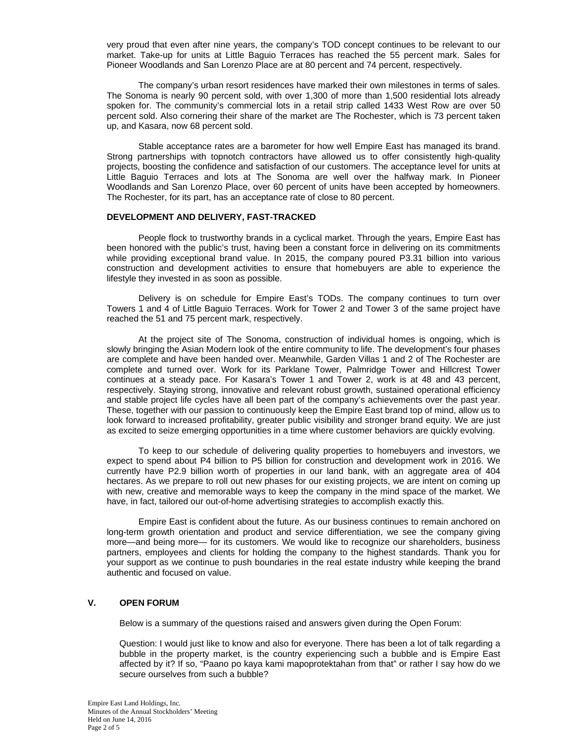very proud that even after nine years, the company's TOD concept continues to be relevant to our market. Take-up for units at Little Baguio Terraces has reached the 55 percent mark. Sales for Pioneer Woodlands and San Lorenzo Place are at 80 percent and 74 percent, respectively.

The company's urban resort residences have marked their own milestones in terms of sales. The Sonoma is nearly 90 percent sold, with over 1,300 of more than 1,500 residential lots already spoken for. The community's commercial lots in a retail strip called 1433 West Row are over 50 percent sold. Also cornering their share of the market are The Rochester, which is 73 percent taken up, and Kasara, now 68 percent sold.

Stable acceptance rates are a barometer for how well Empire East has managed its brand. Strong partnerships with topnotch contractors have allowed us to offer consistently high-quality projects, boosting the confidence and satisfaction of our customers. The acceptance level for units at Little Baguio Terraces and lots at The Sonoma are well over the halfway mark. In Pioneer Woodlands and San Lorenzo Place, over 60 percent of units have been accepted by homeowners. The Rochester, for its part, has an acceptance rate of close to 80 percent.

# **DEVELOPMENT AND DELIVERY, FAST-TRACKED**

People flock to trustworthy brands in a cyclical market. Through the years, Empire East has been honored with the public's trust, having been a constant force in delivering on its commitments while providing exceptional brand value. In 2015, the company poured P3.31 billion into various construction and development activities to ensure that homebuyers are able to experience the lifestyle they invested in as soon as possible.

Delivery is on schedule for Empire East's TODs. The company continues to turn over Towers 1 and 4 of Little Baguio Terraces. Work for Tower 2 and Tower 3 of the same project have reached the 51 and 75 percent mark, respectively.

At the project site of The Sonoma, construction of individual homes is ongoing, which is slowly bringing the Asian Modern look of the entire community to life. The development's four phases are complete and have been handed over. Meanwhile, Garden Villas 1 and 2 of The Rochester are complete and turned over. Work for its Parklane Tower, Palmridge Tower and Hillcrest Tower continues at a steady pace. For Kasara's Tower 1 and Tower 2, work is at 48 and 43 percent, respectively. Staying strong, innovative and relevant robust growth, sustained operational efficiency and stable project life cycles have all been part of the company's achievements over the past year. These, together with our passion to continuously keep the Empire East brand top of mind, allow us to look forward to increased profitability, greater public visibility and stronger brand equity. We are just as excited to seize emerging opportunities in a time where customer behaviors are quickly evolving.

To keep to our schedule of delivering quality properties to homebuyers and investors, we expect to spend about P4 billion to P5 billion for construction and development work in 2016. We currently have P2.9 billion worth of properties in our land bank, with an aggregate area of 404 hectares. As we prepare to roll out new phases for our existing projects, we are intent on coming up with new, creative and memorable ways to keep the company in the mind space of the market. We have, in fact, tailored our out-of-home advertising strategies to accomplish exactly this.

Empire East is confident about the future. As our business continues to remain anchored on long-term growth orientation and product and service differentiation, we see the company giving more—and being more— for its customers. We would like to recognize our shareholders, business partners, employees and clients for holding the company to the highest standards. Thank you for your support as we continue to push boundaries in the real estate industry while keeping the brand authentic and focused on value.

# **V. OPEN FORUM**

Below is a summary of the questions raised and answers given during the Open Forum:

Question: I would just like to know and also for everyone. There has been a lot of talk regarding a bubble in the property market, is the country experiencing such a bubble and is Empire East affected by it? If so, "Paano po kaya kami mapoprotektahan from that" or rather I say how do we secure ourselves from such a bubble?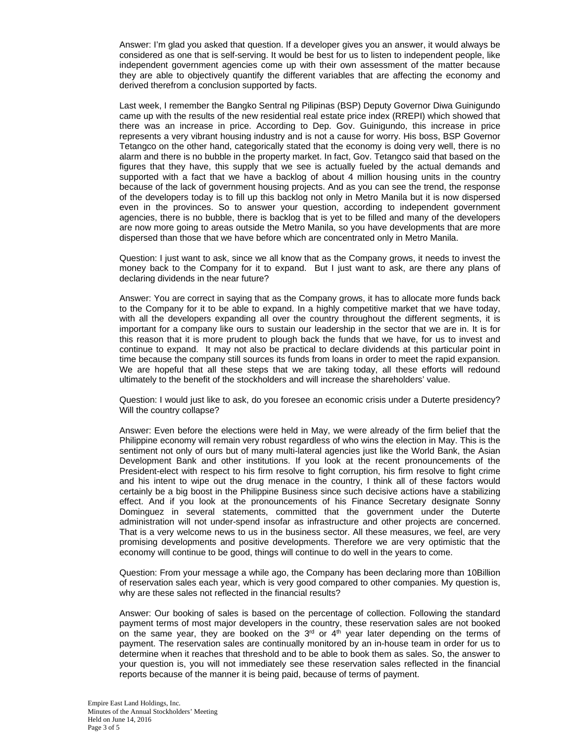Answer: I'm glad you asked that question. If a developer gives you an answer, it would always be considered as one that is self-serving. It would be best for us to listen to independent people, like independent government agencies come up with their own assessment of the matter because they are able to objectively quantify the different variables that are affecting the economy and derived therefrom a conclusion supported by facts.

Last week, I remember the Bangko Sentral ng Pilipinas (BSP) Deputy Governor Diwa Guinigundo came up with the results of the new residential real estate price index (RREPI) which showed that there was an increase in price. According to Dep. Gov. Guinigundo, this increase in price represents a very vibrant housing industry and is not a cause for worry. His boss, BSP Governor Tetangco on the other hand, categorically stated that the economy is doing very well, there is no alarm and there is no bubble in the property market. In fact, Gov. Tetangco said that based on the figures that they have, this supply that we see is actually fueled by the actual demands and supported with a fact that we have a backlog of about 4 million housing units in the country because of the lack of government housing projects. And as you can see the trend, the response of the developers today is to fill up this backlog not only in Metro Manila but it is now dispersed even in the provinces. So to answer your question, according to independent government agencies, there is no bubble, there is backlog that is yet to be filled and many of the developers are now more going to areas outside the Metro Manila, so you have developments that are more dispersed than those that we have before which are concentrated only in Metro Manila.

Question: I just want to ask, since we all know that as the Company grows, it needs to invest the money back to the Company for it to expand. But I just want to ask, are there any plans of declaring dividends in the near future?

Answer: You are correct in saying that as the Company grows, it has to allocate more funds back to the Company for it to be able to expand. In a highly competitive market that we have today, with all the developers expanding all over the country throughout the different segments, it is important for a company like ours to sustain our leadership in the sector that we are in. It is for this reason that it is more prudent to plough back the funds that we have, for us to invest and continue to expand. It may not also be practical to declare dividends at this particular point in time because the company still sources its funds from loans in order to meet the rapid expansion. We are hopeful that all these steps that we are taking today, all these efforts will redound ultimately to the benefit of the stockholders and will increase the shareholders' value.

Question: I would just like to ask, do you foresee an economic crisis under a Duterte presidency? Will the country collapse?

Answer: Even before the elections were held in May, we were already of the firm belief that the Philippine economy will remain very robust regardless of who wins the election in May. This is the sentiment not only of ours but of many multi-lateral agencies just like the World Bank, the Asian Development Bank and other institutions. If you look at the recent pronouncements of the President-elect with respect to his firm resolve to fight corruption, his firm resolve to fight crime and his intent to wipe out the drug menace in the country, I think all of these factors would certainly be a big boost in the Philippine Business since such decisive actions have a stabilizing effect. And if you look at the pronouncements of his Finance Secretary designate Sonny Dominguez in several statements, committed that the government under the Duterte administration will not under-spend insofar as infrastructure and other projects are concerned. That is a very welcome news to us in the business sector. All these measures, we feel, are very promising developments and positive developments. Therefore we are very optimistic that the economy will continue to be good, things will continue to do well in the years to come.

Question: From your message a while ago, the Company has been declaring more than 10Billion of reservation sales each year, which is very good compared to other companies. My question is, why are these sales not reflected in the financial results?

Answer: Our booking of sales is based on the percentage of collection. Following the standard payment terms of most major developers in the country, these reservation sales are not booked on the same year, they are booked on the  $3<sup>rd</sup>$  or  $4<sup>th</sup>$  year later depending on the terms of payment. The reservation sales are continually monitored by an in-house team in order for us to determine when it reaches that threshold and to be able to book them as sales. So, the answer to your question is, you will not immediately see these reservation sales reflected in the financial reports because of the manner it is being paid, because of terms of payment.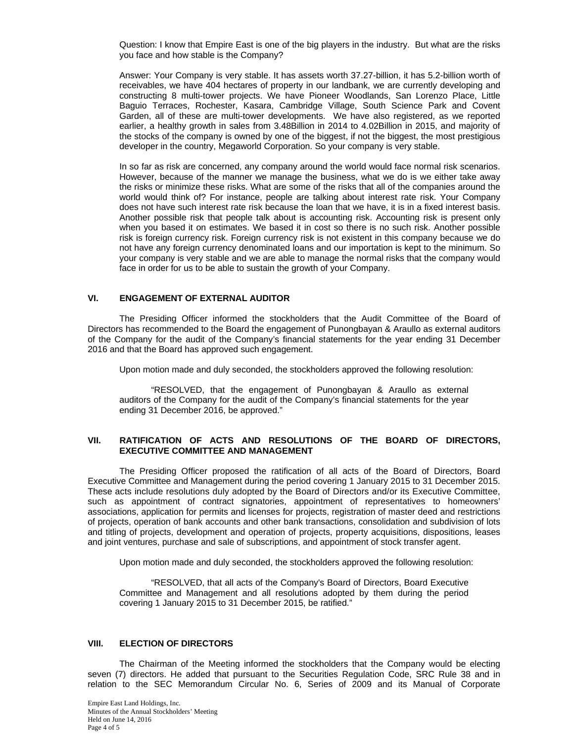Question: I know that Empire East is one of the big players in the industry. But what are the risks you face and how stable is the Company?

Answer: Your Company is very stable. It has assets worth 37.27-billion, it has 5.2-billion worth of receivables, we have 404 hectares of property in our landbank, we are currently developing and constructing 8 multi-tower projects. We have Pioneer Woodlands, San Lorenzo Place, Little Baguio Terraces, Rochester, Kasara, Cambridge Village, South Science Park and Covent Garden, all of these are multi-tower developments. We have also registered, as we reported earlier, a healthy growth in sales from 3.48Billion in 2014 to 4.02Billion in 2015, and majority of the stocks of the company is owned by one of the biggest, if not the biggest, the most prestigious developer in the country, Megaworld Corporation. So your company is very stable.

In so far as risk are concerned, any company around the world would face normal risk scenarios. However, because of the manner we manage the business, what we do is we either take away the risks or minimize these risks. What are some of the risks that all of the companies around the world would think of? For instance, people are talking about interest rate risk. Your Company does not have such interest rate risk because the loan that we have, it is in a fixed interest basis. Another possible risk that people talk about is accounting risk. Accounting risk is present only when you based it on estimates. We based it in cost so there is no such risk. Another possible risk is foreign currency risk. Foreign currency risk is not existent in this company because we do not have any foreign currency denominated loans and our importation is kept to the minimum. So your company is very stable and we are able to manage the normal risks that the company would face in order for us to be able to sustain the growth of your Company.

# **VI. ENGAGEMENT OF EXTERNAL AUDITOR**

The Presiding Officer informed the stockholders that the Audit Committee of the Board of Directors has recommended to the Board the engagement of Punongbayan & Araullo as external auditors of the Company for the audit of the Company's financial statements for the year ending 31 December 2016 and that the Board has approved such engagement.

Upon motion made and duly seconded, the stockholders approved the following resolution:

"RESOLVED, that the engagement of Punongbayan & Araullo as external auditors of the Company for the audit of the Company's financial statements for the year ending 31 December 2016, be approved."

# **VII. RATIFICATION OF ACTS AND RESOLUTIONS OF THE BOARD OF DIRECTORS, EXECUTIVE COMMITTEE AND MANAGEMENT**

The Presiding Officer proposed the ratification of all acts of the Board of Directors, Board Executive Committee and Management during the period covering 1 January 2015 to 31 December 2015. These acts include resolutions duly adopted by the Board of Directors and/or its Executive Committee, such as appointment of contract signatories, appointment of representatives to homeowners' associations, application for permits and licenses for projects, registration of master deed and restrictions of projects, operation of bank accounts and other bank transactions, consolidation and subdivision of lots and titling of projects, development and operation of projects, property acquisitions, dispositions, leases and joint ventures, purchase and sale of subscriptions, and appointment of stock transfer agent.

Upon motion made and duly seconded, the stockholders approved the following resolution:

"RESOLVED, that all acts of the Company's Board of Directors, Board Executive Committee and Management and all resolutions adopted by them during the period covering 1 January 2015 to 31 December 2015, be ratified."

# **VIII. ELECTION OF DIRECTORS**

The Chairman of the Meeting informed the stockholders that the Company would be electing seven (7) directors. He added that pursuant to the Securities Regulation Code, SRC Rule 38 and in relation to the SEC Memorandum Circular No. 6, Series of 2009 and its Manual of Corporate